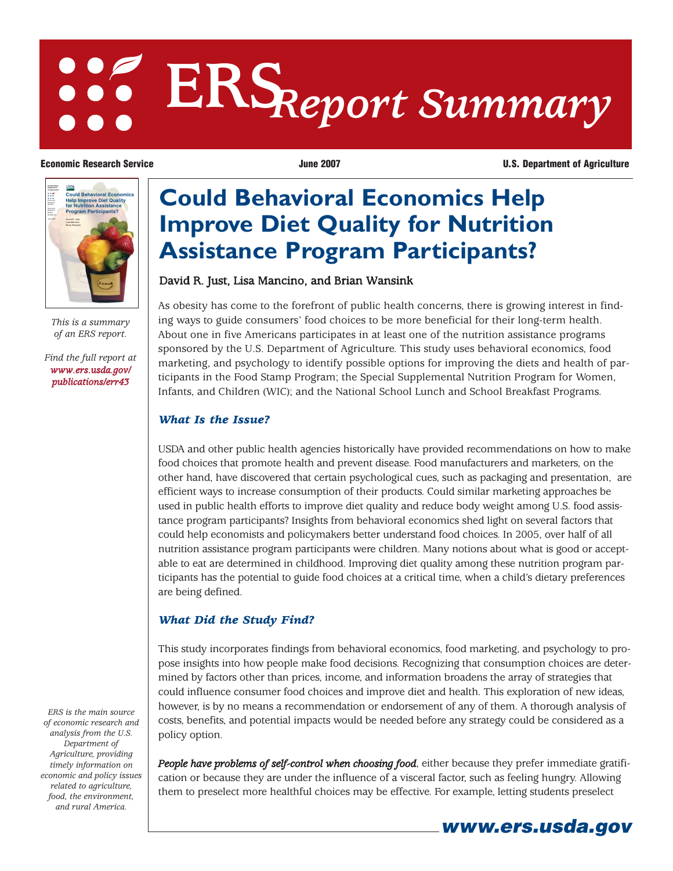# **ERS***Report Summary*

David R. Just, Lisa Mancino, and Brian Wansink

**Could Behavioral Economics Help**

**Improve Diet Quality for Nutrition**

**Assistance Program Participants?**

**Economic Research Service**  The Service Service June 2007 **Constant Constant Constant Constant Constant Constant Constant Constant Constant Constant Constant Constant Constant Constant Constant Constant Constant Constant** 



*This is a summary of an ERS report.*

*[Find the full report at](/publications/err43) www.ers.usda.gov/ publications/err43*

# *What Is the Issue?*

USDA and other public health agencies historically have provided recommendations on how to make food choices that promote health and prevent disease. Food manufacturers and marketers, on the other hand, have discovered that certain psychological cues, such as packaging and presentation, are efficient ways to increase consumption of their products. Could similar marketing approaches be used in public health efforts to improve diet quality and reduce body weight among U.S. food assistance program participants? Insights from behavioral economics shed light on several factors that could help economists and policymakers better understand food choices. In 2005, over half of all nutrition assistance program participants were children. Many notions about what is good or acceptable to eat are determined in childhood. Improving diet quality among these nutrition program participants has the potential to guide food choices at a critical time, when a child's dietary preferences are being defined.

As obesity has come to the forefront of public health concerns, there is growing interest in finding ways to guide consumers' food choices to be more beneficial for their long-term health. About one in five Americans participates in at least one of the nutrition assistance programs sponsored by the U.S. Department of Agriculture. This study uses behavioral economics, food marketing, and psychology to identify possible options for improving the diets and health of participants in the Food Stamp Program; the Special Supplemental Nutrition Program for Women, Infants, and Children (WIC); and the National School Lunch and School Breakfast Programs.

# *What Did the Study Find?*

This study incorporates findings from behavioral economics, food marketing, and psychology to propose insights into how people make food decisions. Recognizing that consumption choices are determined by factors other than prices, income, and information broadens the array of strategies that could influence consumer food choices and improve diet and health. This exploration of new ideas, however, is by no means a recommendation or endorsement of any of them. A thorough analysis of costs, benefits, and potential impacts would be needed before any strategy could be considered as a policy option.

*People have problems of self-control when choosing food*, either because they prefer immediate gratification or because they are under the influence of a visceral factor, such as feeling hungry. Allowing them to preselect more healthful choices may be effective. For example, letting students preselect

*ERS is the main source of economic research and analysis from the U.S. Department of Agriculture, providing timely information on economic and policy issues related to agriculture, food, the environment, and rural America.*

**www.ers.usda.gov**